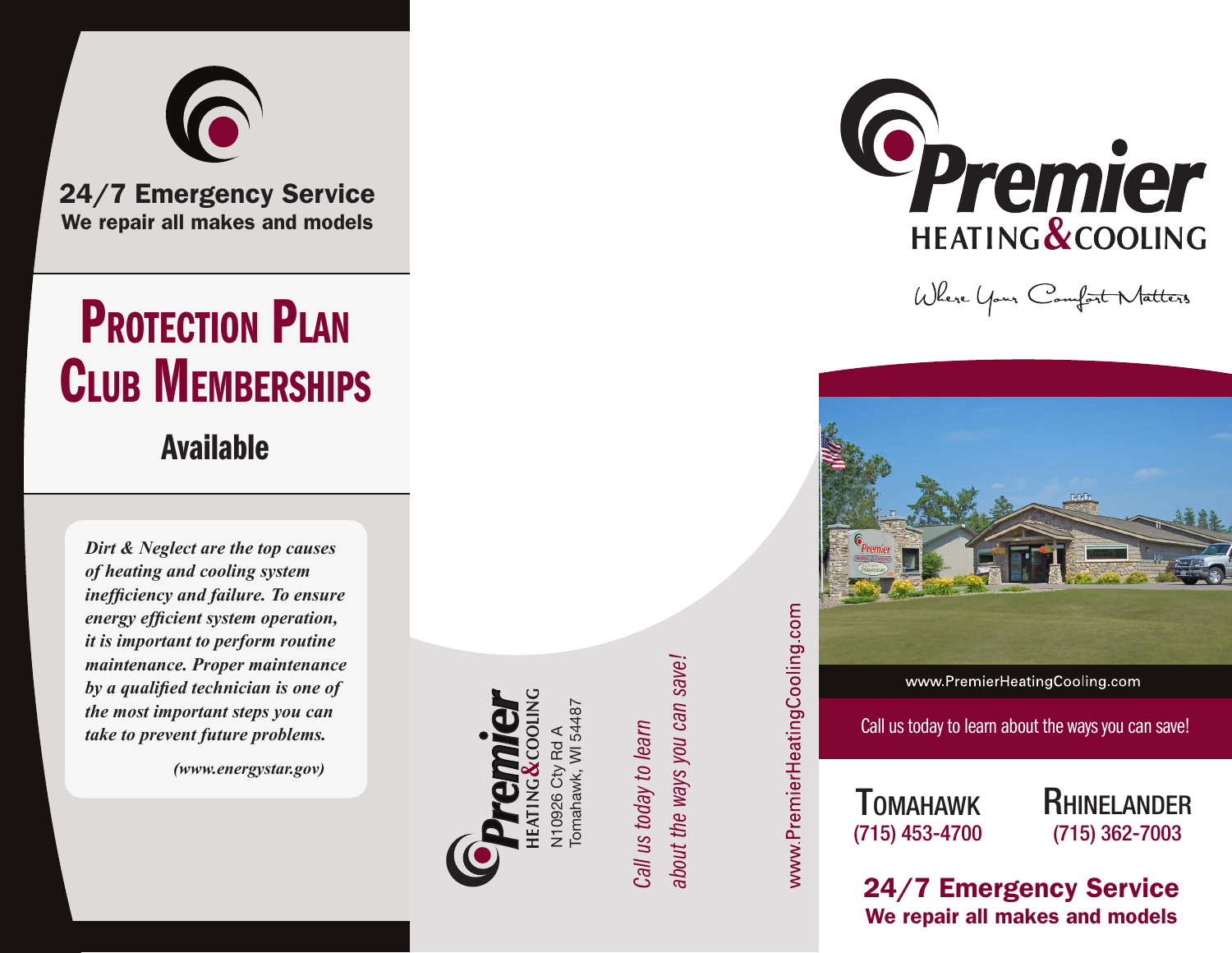24/7 Emergency Service We repair all makes and models

## **PROTECTION PLAN**<br>**CLUB MEMBERSHIPS**

## Available

*Dirt & Neglect are the top causes of heating and cooling system inefficiency and failure. To ensure energy efficient system operation, it is important to perform routine maintenance. Proper maintenance by a qualified technician is one of the most important steps you can take to prevent future problems.*

 *(www.energystar.gov)* 



*about the ways you can save!* about the ways you can save! call us today to learn *Call us today to learn*



Where Your Comfort Natters



www.PremierHeatingCooling.com

Call us today to learn about the ways you can save!

TOMAHAWK (715) 453-4700

www.PremierHeatingCooling.com

**RHINELANDER** (715) 362-7003

## 24/7 Emergency Service We repair all makes and models